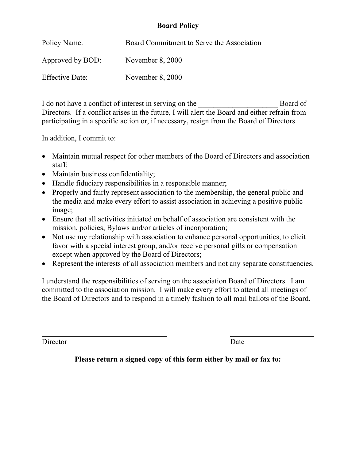# **Board Policy**

| Policy Name:           | Board Commitment to Serve the Association |
|------------------------|-------------------------------------------|
| Approved by BOD:       | November $8,2000$                         |
| <b>Effective Date:</b> | November $8, 2000$                        |

I do not have a conflict of interest in serving on the Board of Directors. If a conflict arises in the future, I will alert the Board and either refrain from participating in a specific action or, if necessary, resign from the Board of Directors.

In addition, I commit to:

- Maintain mutual respect for other members of the Board of Directors and association staff;
- Maintain business confidentiality;
- Handle fiduciary responsibilities in a responsible manner;
- Properly and fairly represent association to the membership, the general public and the media and make every effort to assist association in achieving a positive public image;
- Ensure that all activities initiated on behalf of association are consistent with the mission, policies, Bylaws and/or articles of incorporation;
- Not use my relationship with association to enhance personal opportunities, to elicit favor with a special interest group, and/or receive personal gifts or compensation except when approved by the Board of Directors;
- Represent the interests of all association members and not any separate constituencies.

I understand the responsibilities of serving on the association Board of Directors. I am committed to the association mission. I will make every effort to attend all meetings of the Board of Directors and to respond in a timely fashion to all mail ballots of the Board.

Director Date **Date** 

l

**Please return a signed copy of this form either by mail or fax to:**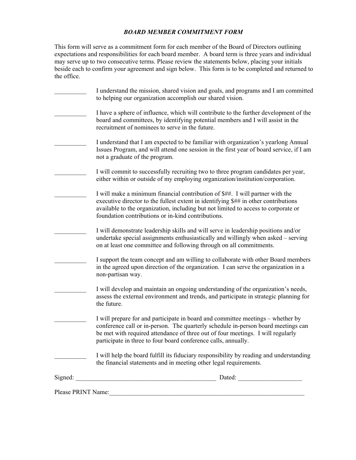#### *BOARD MEMBER COMMITMENT FORM*

This form will serve as a commitment form for each member of the Board of Directors outlining expectations and responsibilities for each board member. A board term is three years and individual may serve up to two consecutive terms. Please review the statements below, placing your initials beside each to confirm your agreement and sign below. This form is to be completed and returned to the office.

|                                                                                                                                                                                                                               | I understand the mission, shared vision and goals, and programs and I am committed<br>to helping our organization accomplish our shared vision.                                                                                                                                                                           |
|-------------------------------------------------------------------------------------------------------------------------------------------------------------------------------------------------------------------------------|---------------------------------------------------------------------------------------------------------------------------------------------------------------------------------------------------------------------------------------------------------------------------------------------------------------------------|
|                                                                                                                                                                                                                               | I have a sphere of influence, which will contribute to the further development of the<br>board and committees, by identifying potential members and I will assist in the<br>recruitment of nominees to serve in the future.                                                                                               |
|                                                                                                                                                                                                                               | I understand that I am expected to be familiar with organization's yearlong Annual<br>Issues Program, and will attend one session in the first year of board service, if I am<br>not a graduate of the program.                                                                                                           |
|                                                                                                                                                                                                                               | I will commit to successfully recruiting two to three program candidates per year,<br>either within or outside of my employing organization/institution/corporation.                                                                                                                                                      |
|                                                                                                                                                                                                                               | I will make a minimum financial contribution of \$##. I will partner with the<br>executive director to the fullest extent in identifying \$## in other contributions<br>available to the organization, including but not limited to access to corporate or<br>foundation contributions or in-kind contributions.          |
|                                                                                                                                                                                                                               | I will demonstrate leadership skills and will serve in leadership positions and/or<br>undertake special assignments enthusiastically and willingly when asked – serving<br>on at least one committee and following through on all commitments.                                                                            |
|                                                                                                                                                                                                                               | I support the team concept and am willing to collaborate with other Board members<br>in the agreed upon direction of the organization. I can serve the organization in a<br>non-partisan way.                                                                                                                             |
|                                                                                                                                                                                                                               | I will develop and maintain an ongoing understanding of the organization's needs,<br>assess the external environment and trends, and participate in strategic planning for<br>the future.                                                                                                                                 |
|                                                                                                                                                                                                                               | I will prepare for and participate in board and committee meetings – whether by<br>conference call or in-person. The quarterly schedule in-person board meetings can<br>be met with required attendance of three out of four meetings. I will regularly<br>participate in three to four board conference calls, annually. |
|                                                                                                                                                                                                                               | I will help the board fulfill its fiduciary responsibility by reading and understanding<br>the financial statements and in meeting other legal requirements.                                                                                                                                                              |
|                                                                                                                                                                                                                               |                                                                                                                                                                                                                                                                                                                           |
| Please PRINT Name: 1988 and 1988 and 1988 and 1988 and 1988 and 1988 and 1988 and 1988 and 1988 and 1988 and 1988 and 1988 and 1988 and 1988 and 1988 and 1988 and 1988 and 1988 and 1988 and 1988 and 1988 and 1988 and 1988 |                                                                                                                                                                                                                                                                                                                           |